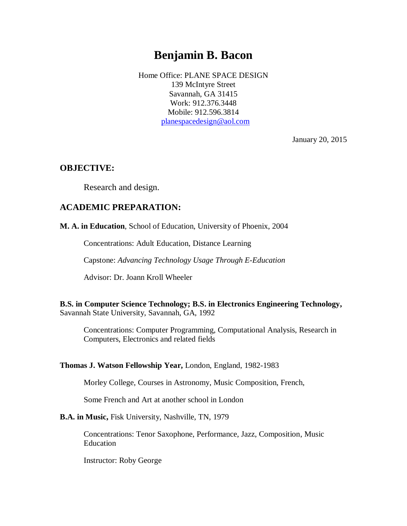# **Benjamin B. Bacon**

Home Office: PLANE SPACE DESIGN 139 McIntyre Street Savannah, GA 31415 Work: 912.376.3448 Mobile: 912.596.3814 [planespacedesign@aol.com](mailto:planespacedesign@aol.com)

January 20, 2015

### **OBJECTIVE:**

Research and design.

### **ACADEMIC PREPARATION:**

**M. A. in Education**, School of Education, University of Phoenix, 2004

Concentrations: Adult Education, Distance Learning

Capstone: *Advancing Technology Usage Through E-Education*

Advisor: Dr. Joann Kroll Wheeler

**B.S. in Computer Science Technology; B.S. in Electronics Engineering Technology,** Savannah State University, Savannah, GA, 1992

Concentrations: Computer Programming, Computational Analysis, Research in Computers, Electronics and related fields

#### **Thomas J. Watson Fellowship Year,** London, England, 1982-1983

Morley College, Courses in Astronomy, Music Composition, French,

Some French and Art at another school in London

#### **B.A. in Music,** Fisk University, Nashville, TN, 1979

Concentrations: Tenor Saxophone, Performance, Jazz, Composition, Music Education

Instructor: Roby George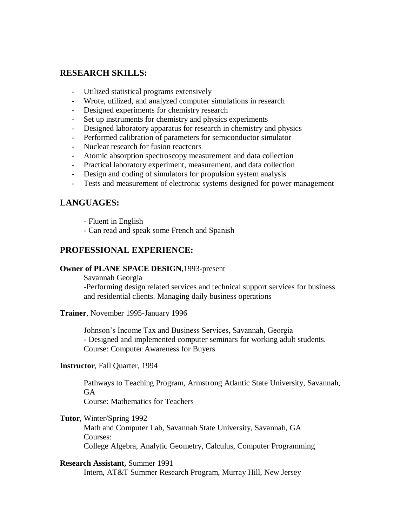### **RESEARCH SKILLS:**

- Utilized statistical programs extensively
- Wrote, utilized, and analyzed computer simulations in research
- Designed experiments for chemistry research
- Set up instruments for chemistry and physics experiments
- Designed laboratory apparatus for research in chemistry and physics
- Performed calibration of parameters for semiconductor simulator
- Nuclear research for fusion reactcors
- Atomic absorption spectroscopy measurement and data collection
- Practical laboratory experiment, measurement, and data collection
- Design and coding of simulators for propulsion system analysis
- Tests and measurement of electronic systems designed for power management

## **LANGUAGES:**

- Fluent in English
- Can read and speak some French and Spanish

## **PROFESSIONAL EXPERIENCE:**

#### **Owner of PLANE SPACE DESIGN**,1993-present

Savannah Georgia -Performing design related services and technical support services for business and residential clients. Managing daily business operations

#### **Trainer**, November 1995-January 1996

Johnson's Income Tax and Business Services, Savannah, Georgia - Designed and implemented computer seminars for working adult students. Course: Computer Awareness for Buyers

#### **Instructor**, Fall Quarter, 1994

Pathways to Teaching Program, Armstrong Atlantic State University, Savannah, **GA** 

Course: Mathematics for Teachers

### **Tutor**, Winter/Spring 1992

Math and Computer Lab, Savannah State University, Savannah, GA Courses: College Algebra, Analytic Geometry, Calculus, Computer Programming

#### **Research Assistant,** Summer 1991

Intern, AT&T Summer Research Program, Murray Hill, New Jersey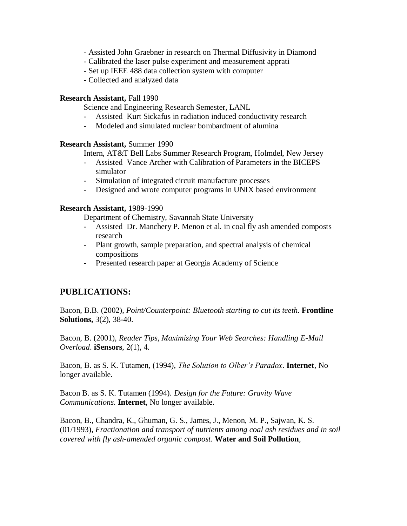- Assisted John Graebner in research on Thermal Diffusivity in Diamond
- Calibrated the laser pulse experiment and measurement apprati
- Set up IEEE 488 data collection system with computer
- Collected and analyzed data

### **Research Assistant,** Fall 1990

Science and Engineering Research Semester, LANL

- Assisted Kurt Sickafus in radiation induced conductivity research
- Modeled and simulated nuclear bombardment of alumina

#### **Research Assistant,** Summer 1990

Intern, AT&T Bell Labs Summer Research Program, Holmdel, New Jersey

- Assisted Vance Archer with Calibration of Parameters in the BICEPS simulator
- Simulation of integrated circuit manufacture processes
- Designed and wrote computer programs in UNIX based environment

### **Research Assistant,** 1989-1990

Department of Chemistry, Savannah State University

- Assisted Dr. Manchery P. Menon et al. in coal fly ash amended composts research
- Plant growth, sample preparation, and spectral analysis of chemical compositions
- Presented research paper at Georgia Academy of Science

# **PUBLICATIONS:**

Bacon, B.B. (2002), *Point/Counterpoint: Bluetooth starting to cut its teeth.* **Frontline Solutions,** 3(2), 38-40.

Bacon, B. (2001), *Reader Tips, Maximizing Your Web Searches: Handling E-Mail Overload*. **iSensors**, 2(1), 4.

Bacon, B. as S. K. Tutamen, (1994), *The Solution to Olber's Paradox*. **Internet**, No longer available.

Bacon B. as S. K. Tutamen (1994). *Design for the Future: Gravity Wave Communications*. **Internet**, No longer available.

Bacon, B., Chandra, K., Ghuman, G. S., James, J., Menon, M. P., Sajwan, K. S. (01/1993), *Fractionation and transport of nutrients among coal ash residues and in soil covered with fly ash-amended organic compost*. **Water and Soil Pollution**,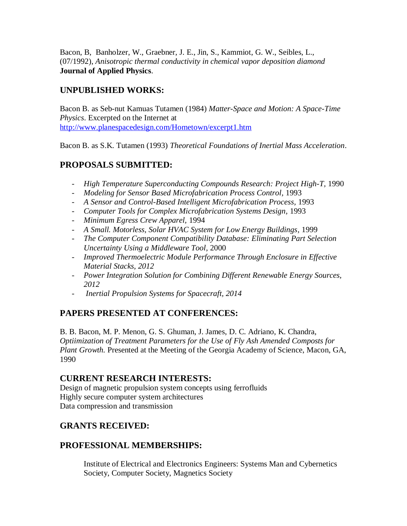Bacon, B, Banholzer, W., Graebner, J. E., Jin, S., Kammiot, G. W., Seibles, L., (07/1992), *Anisotropic thermal conductivity in chemical vapor deposition diamond* **Journal of Applied Physics**.

# **UNPUBLISHED WORKS:**

Bacon B. as Seb-nut Kamuas Tutamen (1984) *Matter-Space and Motion: A Space-Time Physics*. Excerpted on the Internet at <http://www.planespacedesign.com/Hometown/excerpt1.htm>

Bacon B. as S.K. Tutamen (1993) *Theoretical Foundations of Inertial Mass Acceleration*.

# **PROPOSALS SUBMITTED:**

- *High Temperature Superconducting Compounds Research: Project High-T,* 1990
- *Modeling for Sensor Based Microfabrication Process Control, 1993*
- *A Sensor and Control-Based Intelligent Microfabrication Process,* 1993
- *Computer Tools for Complex Microfabrication Systems Design,* 1993
- *Minimum Egress Crew Apparel,* 1994
- *A Small. Motorless, Solar HVAC System for Low Energy Buildings,* 1999
- *The Computer Component Compatibility Database: Eliminating Part Selection Uncertainty Using a Middleware Tool,* 2000
- *Improved Thermoelectric Module Performance Through Enclosure in Effective Material Stacks, 2012*
- *Power Integration Solution for Combining Different Renewable Energy Sources, 2012*
- *Inertial Propulsion Systems for Spacecraft, 2014*

# **PAPERS PRESENTED AT CONFERENCES:**

B. B. Bacon, M. P. Menon, G. S. Ghuman, J. James, D. C. Adriano, K. Chandra, *Optiimization of Treatment Parameters for the Use of Fly Ash Amended Composts for Plant Growth.* Presented at the Meeting of the Georgia Academy of Science, Macon, GA, 1990

# **CURRENT RESEARCH INTERESTS:**

Design of magnetic propulsion system concepts using ferrofluids Highly secure computer system architectures Data compression and transmission

# **GRANTS RECEIVED:**

# **PROFESSIONAL MEMBERSHIPS:**

Institute of Electrical and Electronics Engineers: Systems Man and Cybernetics Society, Computer Society, Magnetics Society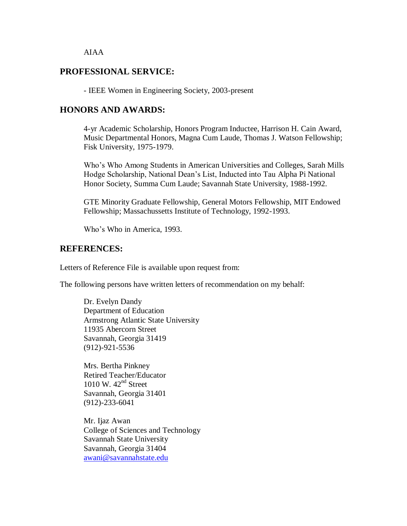#### AIAA

## **PROFESSIONAL SERVICE:**

- IEEE Women in Engineering Society, 2003-present

### **HONORS AND AWARDS:**

4-yr Academic Scholarship, Honors Program Inductee, Harrison H. Cain Award, Music Departmental Honors, Magna Cum Laude, Thomas J. Watson Fellowship; Fisk University, 1975-1979.

Who's Who Among Students in American Universities and Colleges, Sarah Mills Hodge Scholarship, National Dean's List, Inducted into Tau Alpha Pi National Honor Society, Summa Cum Laude; Savannah State University, 1988-1992.

GTE Minority Graduate Fellowship, General Motors Fellowship, MIT Endowed Fellowship; Massachussetts Institute of Technology, 1992-1993.

Who's Who in America, 1993.

### **REFERENCES:**

Letters of Reference File is available upon request from:

The following persons have written letters of recommendation on my behalf:

Dr. Evelyn Dandy Department of Education Armstrong Atlantic State University 11935 Abercorn Street Savannah, Georgia 31419 (912)-921-5536

Mrs. Bertha Pinkney Retired Teacher/Educator 1010 W.  $42<sup>nd</sup>$  Street Savannah, Georgia 31401 (912)-233-6041

Mr. Ijaz Awan College of Sciences and Technology Savannah State University Savannah, Georgia 31404 [awani@savannahstate.edu](mailto:awani@savstate.edu)